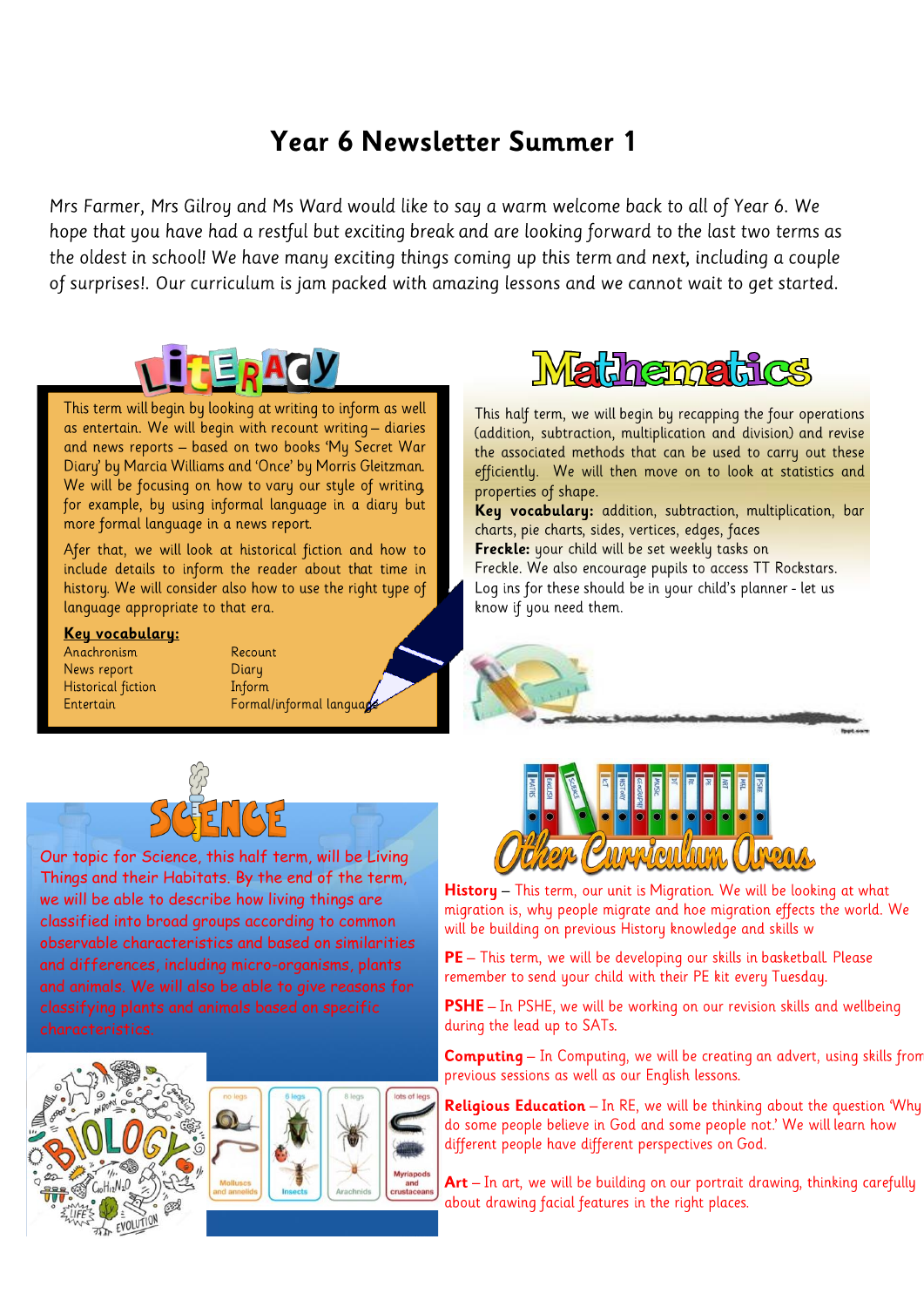## Year 6 Newsletter Summer 1

Mrs Farmer, Mrs Gilroy and Ms Ward would like to say a warm welcome back to all of Year 6. We hope that you have had a restful but exciting break and are looking forward to the last two terms as the oldest in school! We have many exciting things coming up this term and next, including a couple of surprises!. Our curriculum is jam packed with amazing lessons and we cannot wait to get started.



This term will begin by looking at writing to inform as well as entertain. We will begin with recount writing - diaries and news reports - based on two books 'My Secret War Diary' by Marcia Williams and 'Once' by Morris Gleitzman. We will be focusing on how to vary our style of writing, for example, by using informal language in a diary but more formal language in a news report.

Afer that, we will look at historical fiction and how to include details to inform the reader about that time in history. We will consider also how to use the right type of language appropriate to that era.

## Key vocabulary:

Anachronism News report Historical fiction Entertain





Our topic for Science, this half term, will be Living Things and their Habitats. By the end of the term, we will be able to describe how living things are classified into broad groups according to common observable characteristics and based on similarities and differences, including micro-organisms, plants and animals. We will also be able to give reasons for









This half term, we will begin by recapping the four operations (addition, subtraction, multiplication and division) and revise the associated methods that can be used to carry out these efficiently. We will then move on to look at statistics and properties of shape.

Key vocabulary: addition, subtraction, multiplication, bar charts, pie charts, sides, vertices, edges, faces

Freckle: your child will be set weekly tasks on

Freckle. We also encourage pupils to access TT Rockstars. Log ins for these should be in your child's planner - let us know if you need them.





History - This term, our unit is Migration. We will be looking at what migration is, why people migrate and hoe migration effects the world. We will be building on previous History knowledge and skills w

PE - This term, we will be developing our skills in basketball. Please remember to send your child with their PE kit every Tuesday.

PSHE - In PSHE, we will be working on our revision skills and wellbeing during the lead up to SATs.

**Computing** - In Computing, we will be creating an advert, using skills from previous sessions as well as our English lessons.

**Religious Education**  $-$  In RE, we will be thinking about the question 'Why do some people believe in God and some people not.' We will learn how different people have different perspectives on God.

Art - In art, we will be building on our portrait drawing, thinking carefully about drawing facial features in the right places.